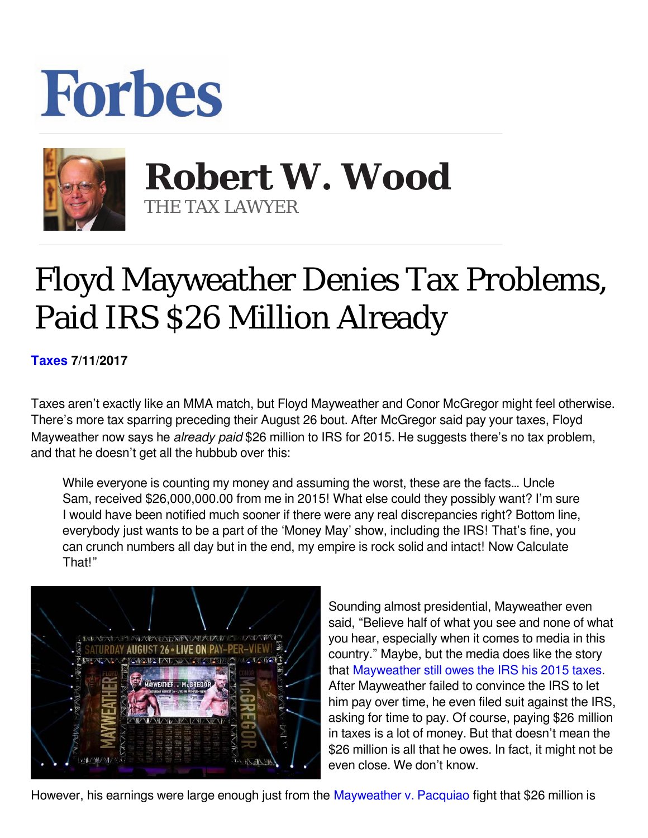## **Forbes**



 **Robert W. Wood** THE TAX LAWYER

## Floyd Mayweather Denies Tax Problems, Paid IRS \$26 Million Already

**[Taxes](https://www.forbes.com/taxes) 7/11/2017** 

Taxes aren't exactly like an MMA match, but Floyd Mayweather and Conor McGregor might feel otherwise. There's more tax sparring preceding their August 26 bout. After McGregor said pay your taxes, Floyd Mayweather now says he *already paid* \$26 million to IRS for 2015. He suggests there's no tax problem, and that he doesn't get all the hubbub over this:

While everyone is counting my money and assuming the worst, these are the facts… Uncle Sam, received \$26,000,000.00 from me in 2015! What else could they possibly want? I'm sure I would have been notified much sooner if there were any real discrepancies right? Bottom line, everybody just wants to be a part of the 'Money May' show, including the IRS! That's fine, you can crunch numbers all day but in the end, my empire is rock solid and intact! Now Calculate That!"



Sounding almost presidential, Mayweather even said, "Believe half of what you see and none of what you hear, especially when it comes to media in this country." Maybe, but the media does like the story that [Mayweather still owes the IRS his 2015 taxes.](https://www.google.com/url?sa=t&rct=j&q=&esrc=s&source=web&cd=7&cad=rja&uact=8&ved=0ahUKEwjn18zb0YDVAhWkx4MKHUB4C3IQFghBMAY&url=https://www.forbes.com/sites/robertwood/2017/07/09/mayweather-sues-irs-to-await-mcgregor-fight-to-pay-2015-taxes/&usg=AFQjCNGBEqPbXeLgpUYkLBxF2cWfi1oPXA) After Mayweather failed to convince the IRS to let him pay over time, he even filed suit against the IRS, asking for time to pay. Of course, paying \$26 million in taxes is a lot of money. But that doesn't mean the \$26 million is all that he owes. In fact, it might not be even close. We don't know.

However, his earnings were large enough just from the [Mayweather v. Pacquiao](https://www.google.com/url?sa=t&rct=j&q=&esrc=s&source=web&cd=3&cad=rja&uact=8&ved=0ahUKEwj8ieOKloLVAhUo6oMKHcmsAwIQFggvMAI&url=http://www.forbes.com/sites/robertwood/2015/02/21/mayweather-v-pacquiao-v-irs/&usg=AFQjCNEh1bGUSEhnufQlYCKAv7O5TgZg4Q) fight that \$26 million is